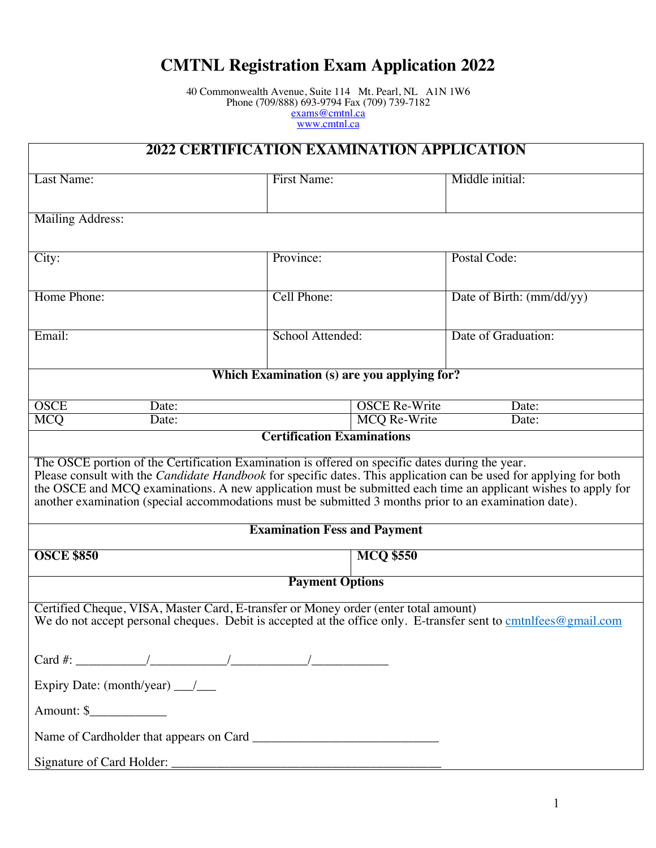## **CMTNL Registration Exam Application 2022**

40 Commonwealth Avenue, Suite 114 Mt. Pearl, NL A1N 1W6 Phone (709/888) 693-9794 Fax (709) 739-7182 exams@cmtnl.ca www.cmtnl.ca

| 2022 CERTIFICATION EXAMINATION APPLICATION                                                                                                                                                                                                                                                                                                                                                                                                            |                     |                      |                           |  |
|-------------------------------------------------------------------------------------------------------------------------------------------------------------------------------------------------------------------------------------------------------------------------------------------------------------------------------------------------------------------------------------------------------------------------------------------------------|---------------------|----------------------|---------------------------|--|
| Last Name:                                                                                                                                                                                                                                                                                                                                                                                                                                            | <b>First Name:</b>  |                      | Middle initial:           |  |
| Mailing Address:                                                                                                                                                                                                                                                                                                                                                                                                                                      |                     |                      |                           |  |
| City:                                                                                                                                                                                                                                                                                                                                                                                                                                                 | Province:           |                      | Postal Code:              |  |
| Home Phone:                                                                                                                                                                                                                                                                                                                                                                                                                                           | Cell Phone:         |                      | Date of Birth: (mm/dd/yy) |  |
| Email:                                                                                                                                                                                                                                                                                                                                                                                                                                                | School Attended:    |                      | Date of Graduation:       |  |
| <b>Which Examination (s) are you applying for?</b>                                                                                                                                                                                                                                                                                                                                                                                                    |                     |                      |                           |  |
| <b>OSCE</b><br>Date:                                                                                                                                                                                                                                                                                                                                                                                                                                  |                     | <b>OSCE Re-Write</b> | Date:                     |  |
| <b>MCQ</b><br>Date:                                                                                                                                                                                                                                                                                                                                                                                                                                   | <b>MCQ Re-Write</b> |                      | Date:                     |  |
| <b>Certification Examinations</b>                                                                                                                                                                                                                                                                                                                                                                                                                     |                     |                      |                           |  |
| The OSCE portion of the Certification Examination is offered on specific dates during the year.<br>Please consult with the <i>Candidate Handbook</i> for specific dates. This application can be used for applying for both<br>the OSCE and MCQ examinations. A new application must be submitted each time an applicant wishes to apply for<br>another examination (special accommodations must be submitted 3 months prior to an examination date). |                     |                      |                           |  |
| <b>Examination Fess and Payment</b>                                                                                                                                                                                                                                                                                                                                                                                                                   |                     |                      |                           |  |
| <b>OSCE \$850</b><br><b>MCQ \$550</b>                                                                                                                                                                                                                                                                                                                                                                                                                 |                     |                      |                           |  |
| <b>Payment Options</b>                                                                                                                                                                                                                                                                                                                                                                                                                                |                     |                      |                           |  |
| Certified Cheque, VISA, Master Card, E-transfer or Money order (enter total amount)<br>We do not accept personal cheques. Debit is accepted at the office only. E-transfer sent to cmtnlfees@gmail.com                                                                                                                                                                                                                                                |                     |                      |                           |  |
|                                                                                                                                                                                                                                                                                                                                                                                                                                                       |                     |                      |                           |  |
|                                                                                                                                                                                                                                                                                                                                                                                                                                                       |                     |                      |                           |  |
| Amount: \$                                                                                                                                                                                                                                                                                                                                                                                                                                            |                     |                      |                           |  |
|                                                                                                                                                                                                                                                                                                                                                                                                                                                       |                     |                      |                           |  |
|                                                                                                                                                                                                                                                                                                                                                                                                                                                       |                     |                      |                           |  |